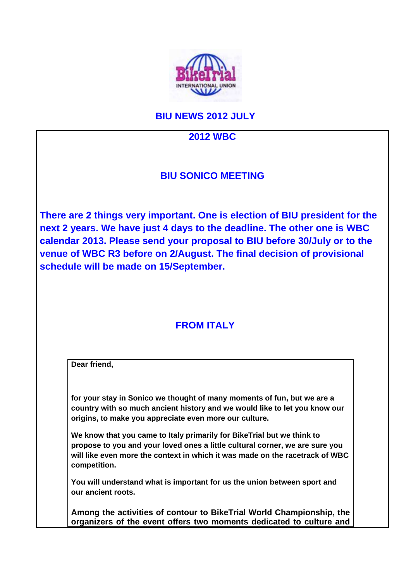

## **BIU NEWS 2012 JULY**

#### **2012 WBC**

### **BIU SONICO MEETING**

**There are 2 things very important. One is election of BIU president for the next 2 years. We have just 4 days to the deadline. The other one is WBC calendar 2013. Please send your proposal to BIU before 30/July or to the venue of WBC R3 before on 2/August. The final decision of provisional schedule will be made on 15/September.** 

# **FROM ITALY**

| Dear friend,       |                                                                                                                                                                                                                                        |
|--------------------|----------------------------------------------------------------------------------------------------------------------------------------------------------------------------------------------------------------------------------------|
|                    | for your stay in Sonico we thought of many moments of fun, but we are a<br>country with so much ancient history and we would like to let you know our<br>origins, to make you appreciate even more our culture.                        |
| competition.       | We know that you came to Italy primarily for BikeTrial but we think to<br>propose to you and your loved ones a little cultural corner, we are sure you<br>will like even more the context in which it was made on the racetrack of WBC |
| our ancient roots. | You will understand what is important for us the union between sport and                                                                                                                                                               |
|                    | Among the activities of contour to BikeTrial World Championship, the                                                                                                                                                                   |

**organizers of the event offers two moments dedicated to culture and**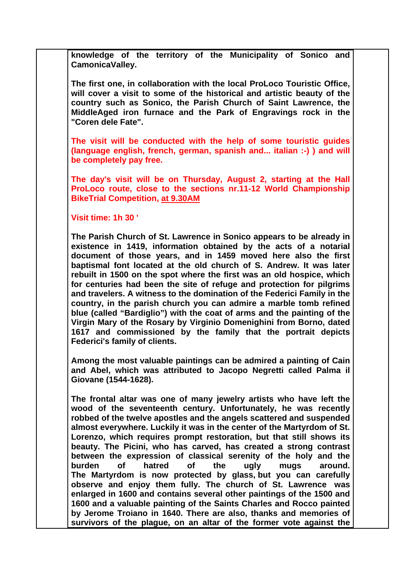**knowledge of the territory of the Municipality of Sonico and CamonicaValley.** 

**The first one, in collaboration with the local ProLoco Touristic Office, will cover a visit to some of the historical and artistic beauty of the country such as Sonico, the Parish Church of Saint Lawrence, the MiddleAged iron furnace and the Park of Engravings rock in the "Coren dele Fate".** 

**The visit will be conducted with the help of some touristic guides (language english, french, german, spanish and... italian :-) ) and will be completely pay free.** 

**The day's visit will be on Thursday, August 2, starting at the Hall ProLoco route, close to the sections nr.11-12 World Championship BikeTrial Competition, at 9.30AM** 

#### **Visit time: 1h 30 '**

**The Parish Church of St. Lawrence in Sonico appears to be already in existence in 1419, information obtained by the acts of a notarial document of those years, and in 1459 moved here also the first baptismal font located at the old church of S. Andrew. It was later rebuilt in 1500 on the spot where the first was an old hospice, which for centuries had been the site of refuge and protection for pilgrims and travelers. A witness to the domination of the Federici Family in the country, in the parish church you can admire a marble tomb refined blue (called "Bardiglio") with the coat of arms and the painting of the Virgin Mary of the Rosary by Virginio Domenighini from Borno, dated 1617 and commissioned by the family that the portrait depicts Federici's family of clients.** 

**Among the most valuable paintings can be admired a painting of Cain and Abel, which was attributed to Jacopo Negretti called Palma il Giovane (1544-1628).** 

**The frontal altar was one of many jewelry artists who have left the wood of the seventeenth century. Unfortunately, he was recently robbed of the twelve apostles and the angels scattered and suspended almost everywhere. Luckily it was in the center of the Martyrdom of St. Lorenzo, which requires prompt restoration, but that still shows its beauty. The Picini, who has carved, has created a strong contrast between the expression of classical serenity of the holy and the burden of hatred of the ugly mugs around. The Martyrdom is now protected by glass, but you can carefully observe and enjoy them fully. The church of St. Lawrence was enlarged in 1600 and contains several other paintings of the 1500 and 1600 and a valuable painting of the Saints Charles and Rocco painted by Jerome Troiano in 1640. There are also, thanks and memories of survivors of the plague, on an altar of the former vote against the**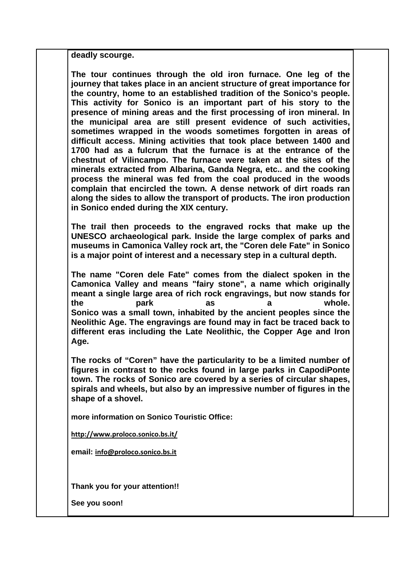**deadly scourge.** 

**The tour continues through the old iron furnace. One leg of the journey that takes place in an ancient structure of great importance for the country, home to an established tradition of the Sonico's people. This activity for Sonico is an important part of his story to the presence of mining areas and the first processing of iron mineral. In the municipal area are still present evidence of such activities, sometimes wrapped in the woods sometimes forgotten in areas of difficult access. Mining activities that took place between 1400 and 1700 had as a fulcrum that the furnace is at the entrance of the chestnut of Vilincampo. The furnace were taken at the sites of the minerals extracted from Albarina, Ganda Negra, etc.. and the cooking process the mineral was fed from the coal produced in the woods complain that encircled the town. A dense network of dirt roads ran along the sides to allow the transport of products. The iron production in Sonico ended during the XIX century.** 

**The trail then proceeds to the engraved rocks that make up the UNESCO archaeological park. Inside the large complex of parks and museums in Camonica Valley rock art, the "Coren dele Fate" in Sonico is a major point of interest and a necessary step in a cultural depth.** 

**The name "Coren dele Fate" comes from the dialect spoken in the Camonica Valley and means "fairy stone", a name which originally meant a single large area of rich rock engravings, but now stands for the park as a whole. Sonico was a small town, inhabited by the ancient peoples since the Neolithic Age. The engravings are found may in fact be traced back to different eras including the Late Neolithic, the Copper Age and Iron Age.** 

**The rocks of "Coren" have the particularity to be a limited number of figures in contrast to the rocks found in large parks in CapodiPonte town. The rocks of Sonico are covered by a series of circular shapes, spirals and wheels, but also by an impressive number of figures in the shape of a shovel.** 

**more information on Sonico Touristic Office:** 

**http://www.proloco.sonico.bs.it/**

**email: info@proloco.sonico.bs.it**

**Thank you for your attention!!** 

**See you soon!**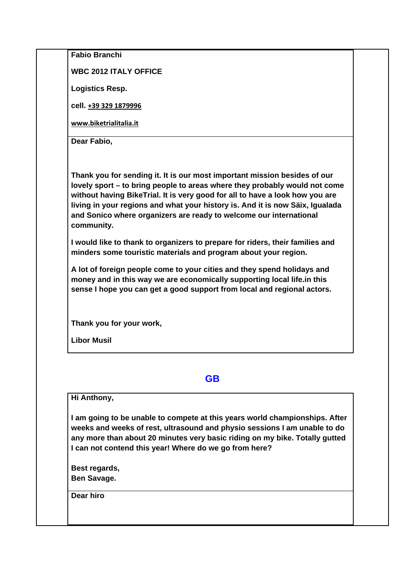| <b>Fabio Branchi</b>                                                                                                                                                                                                                                                                                                                                                                                         |
|--------------------------------------------------------------------------------------------------------------------------------------------------------------------------------------------------------------------------------------------------------------------------------------------------------------------------------------------------------------------------------------------------------------|
| <b>WBC 2012 ITALY OFFICE</b>                                                                                                                                                                                                                                                                                                                                                                                 |
| <b>Logistics Resp.</b>                                                                                                                                                                                                                                                                                                                                                                                       |
| cell. +39 329 1879996                                                                                                                                                                                                                                                                                                                                                                                        |
| www.biketrialitalia.it                                                                                                                                                                                                                                                                                                                                                                                       |
| Dear Fabio,                                                                                                                                                                                                                                                                                                                                                                                                  |
| Thank you for sending it. It is our most important mission besides of our<br>lovely sport - to bring people to areas where they probably would not come<br>without having BikeTrial. It is very good for all to have a look how you are<br>living in your regions and what your history is. And it is now Säix, Igualada<br>and Sonico where organizers are ready to welcome our international<br>community. |
| I would like to thank to organizers to prepare for riders, their families and<br>minders some touristic materials and program about your region.                                                                                                                                                                                                                                                             |
| A lot of foreign people come to your cities and they spend holidays and<br>money and in this way we are economically supporting local life.in this<br>sense I hope you can get a good support from local and regional actors.                                                                                                                                                                                |
| Thank you for your work,                                                                                                                                                                                                                                                                                                                                                                                     |
| <b>Libor Musil</b>                                                                                                                                                                                                                                                                                                                                                                                           |
|                                                                                                                                                                                                                                                                                                                                                                                                              |
| <b>GB</b>                                                                                                                                                                                                                                                                                                                                                                                                    |
| Hi Anthony,                                                                                                                                                                                                                                                                                                                                                                                                  |
| I am going to be unable to compete at this years world championships. After<br>weeks and weeks of rest, ultrasound and physio sessions I am unable to do<br>any more than about 20 minutes very basic riding on my bike. Totally gutted<br>I can not contend this year! Where do we go from here?                                                                                                            |
| Best regards,<br><b>Ben Savage.</b>                                                                                                                                                                                                                                                                                                                                                                          |

**Dear hiro**